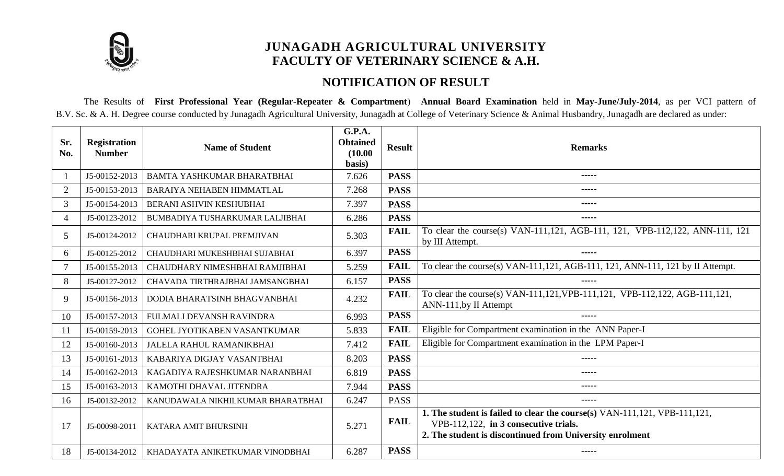

## **JUNAGADH AGRICULTURAL UNIVERSITY FACULTY OF VETERINARY SCIENCE & A.H.**

## **NOTIFICATION OF RESULT**

The Results of **First Professional Year (Regular-Repeater & Compartment**) **Annual Board Examination** held in **May-June/July-2014**, as per VCI pattern of B.V. Sc. & A. H. Degree course conducted by Junagadh Agricultural University, Junagadh at College of Veterinary Science & Animal Husbandry, Junagadh are declared as under:

| Sr.<br>No.     | <b>Registration</b><br><b>Number</b> | <b>Name of Student</b>            | G.P.A.<br><b>Obtained</b><br>(10.00)<br>basis) | <b>Result</b> | <b>Remarks</b>                                                                                                                                                                 |
|----------------|--------------------------------------|-----------------------------------|------------------------------------------------|---------------|--------------------------------------------------------------------------------------------------------------------------------------------------------------------------------|
|                | J5-00152-2013                        | BAMTA YASHKUMAR BHARATBHAI        | 7.626                                          | <b>PASS</b>   | -----                                                                                                                                                                          |
| 2              | J5-00153-2013                        | <b>BARAIYA NEHABEN HIMMATLAL</b>  | 7.268                                          | <b>PASS</b>   | -----                                                                                                                                                                          |
| 3              | J5-00154-2013                        | BERANI ASHVIN KESHUBHAI           | 7.397                                          | <b>PASS</b>   | -----                                                                                                                                                                          |
| $\overline{4}$ | J5-00123-2012                        | BUMBADIYA TUSHARKUMAR LALJIBHAI   | 6.286                                          | <b>PASS</b>   | -----                                                                                                                                                                          |
| 5              | J5-00124-2012                        | CHAUDHARI KRUPAL PREMJIVAN        | 5.303                                          | <b>FAIL</b>   | To clear the course(s) VAN-111, 121, AGB-111, 121, VPB-112, 122, ANN-111, 121<br>by III Attempt.                                                                               |
| 6              | J5-00125-2012                        | CHAUDHARI MUKESHBHAI SUJABHAI     | 6.397                                          | <b>PASS</b>   | -----                                                                                                                                                                          |
|                | J5-00155-2013                        | CHAUDHARY NIMESHBHAI RAMJIBHAI    | 5.259                                          | <b>FAIL</b>   | To clear the course(s) VAN-111,121, AGB-111, 121, ANN-111, 121 by II Attempt.                                                                                                  |
| 8              | J5-00127-2012                        | CHAVADA TIRTHRAJBHAI JAMSANGBHAI  | 6.157                                          | <b>PASS</b>   |                                                                                                                                                                                |
| 9              | J5-00156-2013                        | DODIA BHARATSINH BHAGVANBHAI      | 4.232                                          | <b>FAIL</b>   | To clear the course(s) VAN-111,121, VPB-111,121, VPB-112,122, AGB-111,121,<br>ANN-111, by II Attempt                                                                           |
| 10             | J5-00157-2013                        | FULMALI DEVANSH RAVINDRA          | 6.993                                          | <b>PASS</b>   |                                                                                                                                                                                |
| 11             | J5-00159-2013                        | GOHEL JYOTIKABEN VASANTKUMAR      | 5.833                                          | <b>FAIL</b>   | Eligible for Compartment examination in the ANN Paper-I                                                                                                                        |
| 12             | J5-00160-2013                        | <b>JALELA RAHUL RAMANIKBHAI</b>   | 7.412                                          | <b>FAIL</b>   | Eligible for Compartment examination in the LPM Paper-I                                                                                                                        |
| 13             | J5-00161-2013                        | KABARIYA DIGJAY VASANTBHAI        | 8.203                                          | <b>PASS</b>   | -----                                                                                                                                                                          |
| 14             | J5-00162-2013                        | KAGADIYA RAJESHKUMAR NARANBHAI    | 6.819                                          | <b>PASS</b>   | -----                                                                                                                                                                          |
| 15             | J5-00163-2013                        | KAMOTHI DHAVAL JITENDRA           | 7.944                                          | <b>PASS</b>   | -----                                                                                                                                                                          |
| 16             | J5-00132-2012                        | KANUDAWALA NIKHILKUMAR BHARATBHAI | 6.247                                          | <b>PASS</b>   | -----                                                                                                                                                                          |
| 17             | J5-00098-2011                        | KATARA AMIT BHURSINH              | 5.271                                          | <b>FAIL</b>   | 1. The student is failed to clear the course(s) VAN-111,121, VPB-111,121,<br>VPB-112,122, in 3 consecutive trials.<br>2. The student is discontinued from University enrolment |
| 18             | J5-00134-2012                        | KHADAYATA ANIKETKUMAR VINODBHAI   | 6.287                                          | <b>PASS</b>   | -----                                                                                                                                                                          |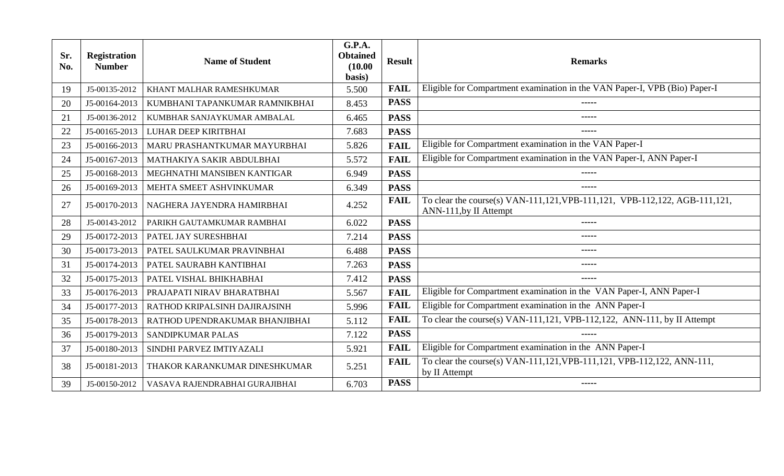| Sr.<br>No. | <b>Registration</b><br><b>Number</b> | <b>Name of Student</b>         | G.P.A.<br><b>Obtained</b><br>(10.00)<br>basis) | <b>Result</b> | <b>Remarks</b>                                                                                       |
|------------|--------------------------------------|--------------------------------|------------------------------------------------|---------------|------------------------------------------------------------------------------------------------------|
| 19         | J5-00135-2012                        | KHANT MALHAR RAMESHKUMAR       | 5.500                                          | <b>FAIL</b>   | Eligible for Compartment examination in the VAN Paper-I, VPB (Bio) Paper-I                           |
| 20         | J5-00164-2013                        | KUMBHANI TAPANKUMAR RAMNIKBHAI | 8.453                                          | <b>PASS</b>   | -----                                                                                                |
| 21         | J5-00136-2012                        | KUMBHAR SANJAYKUMAR AMBALAL    | 6.465                                          | <b>PASS</b>   | -----                                                                                                |
| 22         | J5-00165-2013                        | LUHAR DEEP KIRITBHAI           | 7.683                                          | <b>PASS</b>   | -----                                                                                                |
| 23         | J5-00166-2013                        | MARU PRASHANTKUMAR MAYURBHAI   | 5.826                                          | <b>FAIL</b>   | Eligible for Compartment examination in the VAN Paper-I                                              |
| 24         | J5-00167-2013                        | MATHAKIYA SAKIR ABDULBHAI      | 5.572                                          | <b>FAIL</b>   | Eligible for Compartment examination in the VAN Paper-I, ANN Paper-I                                 |
| 25         | J5-00168-2013                        | MEGHNATHI MANSIBEN KANTIGAR    | 6.949                                          | <b>PASS</b>   | -----                                                                                                |
| 26         | J5-00169-2013                        | MEHTA SMEET ASHVINKUMAR        | 6.349                                          | <b>PASS</b>   | -----                                                                                                |
| 27         | J5-00170-2013                        | NAGHERA JAYENDRA HAMIRBHAI     | 4.252                                          | <b>FAIL</b>   | To clear the course(s) VAN-111,121, VPB-111,121, VPB-112,122, AGB-111,121,<br>ANN-111, by II Attempt |
| 28         | J5-00143-2012                        | PARIKH GAUTAMKUMAR RAMBHAI     | 6.022                                          | <b>PASS</b>   | -----                                                                                                |
| 29         | J5-00172-2013                        | PATEL JAY SURESHBHAI           | 7.214                                          | <b>PASS</b>   | -----                                                                                                |
| 30         | J5-00173-2013                        | PATEL SAULKUMAR PRAVINBHAI     | 6.488                                          | <b>PASS</b>   | -----                                                                                                |
| 31         | J5-00174-2013                        | PATEL SAURABH KANTIBHAI        | 7.263                                          | <b>PASS</b>   | -----                                                                                                |
| 32         | J5-00175-2013                        | PATEL VISHAL BHIKHABHAI        | 7.412                                          | <b>PASS</b>   |                                                                                                      |
| 33         | J5-00176-2013                        | PRAJAPATI NIRAV BHARATBHAI     | 5.567                                          | <b>FAIL</b>   | Eligible for Compartment examination in the VAN Paper-I, ANN Paper-I                                 |
| 34         | J5-00177-2013                        | RATHOD KRIPALSINH DAJIRAJSINH  | 5.996                                          | <b>FAIL</b>   | Eligible for Compartment examination in the ANN Paper-I                                              |
| 35         | J5-00178-2013                        | RATHOD UPENDRAKUMAR BHANJIBHAI | 5.112                                          | <b>FAIL</b>   | To clear the course(s) VAN-111,121, VPB-112,122, ANN-111, by II Attempt                              |
| 36         | J5-00179-2013                        | SANDIPKUMAR PALAS              | 7.122                                          | <b>PASS</b>   | -----                                                                                                |
| 37         | J5-00180-2013                        | SINDHI PARVEZ IMTIYAZALI       | 5.921                                          | <b>FAIL</b>   | Eligible for Compartment examination in the ANN Paper-I                                              |
| 38         | J5-00181-2013                        | THAKOR KARANKUMAR DINESHKUMAR  | 5.251                                          | <b>FAIL</b>   | To clear the course(s) VAN-111,121, VPB-111,121, VPB-112,122, ANN-111,<br>by II Attempt              |
| 39         | J5-00150-2012                        | VASAVA RAJENDRABHAI GURAJIBHAI | 6.703                                          | <b>PASS</b>   | -----                                                                                                |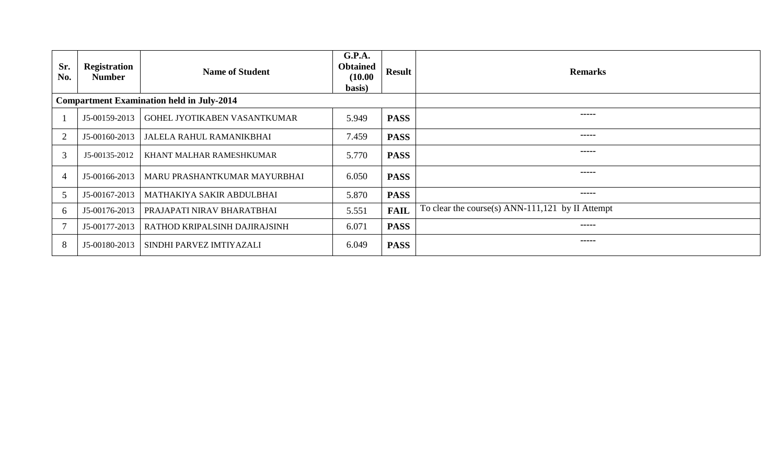| Sr.<br>No.                                       | <b>Registration</b><br><b>Number</b> | <b>Name of Student</b>          | <b>G.P.A.</b><br><b>Obtained</b><br>(10.00)<br>basis) | <b>Result</b> | <b>Remarks</b>                                   |
|--------------------------------------------------|--------------------------------------|---------------------------------|-------------------------------------------------------|---------------|--------------------------------------------------|
| <b>Compartment Examination held in July-2014</b> |                                      |                                 |                                                       |               |                                                  |
|                                                  | J5-00159-2013                        | GOHEL JYOTIKABEN VASANTKUMAR    | 5.949                                                 | <b>PASS</b>   | -----                                            |
| 2                                                | J5-00160-2013                        | <b>JALELA RAHUL RAMANIKBHAI</b> | 7.459                                                 | <b>PASS</b>   | -----                                            |
| 3                                                | J5-00135-2012                        | KHANT MALHAR RAMESHKUMAR        | 5.770                                                 | <b>PASS</b>   | -----                                            |
| $\overline{4}$                                   | J5-00166-2013                        | MARU PRASHANTKUMAR MAYURBHAI    | 6.050                                                 | <b>PASS</b>   | -----                                            |
| 5                                                | J5-00167-2013                        | MATHAKIYA SAKIR ABDULBHAI       | 5.870                                                 | <b>PASS</b>   | -----                                            |
| 6                                                | J5-00176-2013                        | PRAJAPATI NIRAV BHARATBHAI      | 5.551                                                 | <b>FAIL</b>   | To clear the course(s) ANN-111,121 by II Attempt |
| $\overline{7}$                                   | J5-00177-2013                        | RATHOD KRIPALSINH DAJIRAJSINH   | 6.071                                                 | <b>PASS</b>   | -----                                            |
| 8                                                | J5-00180-2013                        | SINDHI PARVEZ IMTIYAZALI        | 6.049                                                 | <b>PASS</b>   | -----                                            |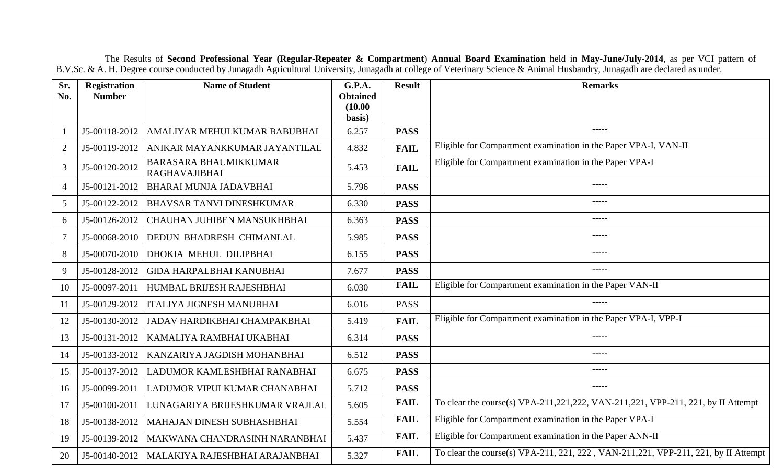The Results of **Second Professional Year (Regular-Repeater & Compartment**) **Annual Board Examination** held in **May-June/July-2014**, as per VCI pattern of B.V.Sc. & A. H. Degree course conducted by Junagadh Agricultural University, Junagadh at college of Veterinary Science & Animal Husbandry, Junagadh are declared as under.

| Sr.<br>No.      | <b>Registration</b><br><b>Number</b> | <b>Name of Student</b>                        | G.P.A.<br><b>Obtained</b> | <b>Result</b> | <b>Remarks</b>                                                                      |
|-----------------|--------------------------------------|-----------------------------------------------|---------------------------|---------------|-------------------------------------------------------------------------------------|
|                 |                                      |                                               | (10.00)                   |               |                                                                                     |
|                 |                                      |                                               | basis)                    |               |                                                                                     |
| $\mathbf{1}$    | J5-00118-2012                        | AMALIYAR MEHULKUMAR BABUBHAI                  | 6.257                     | <b>PASS</b>   |                                                                                     |
| 2               | J5-00119-2012                        | ANIKAR MAYANKKUMAR JAYANTILAL                 | 4.832                     | <b>FAIL</b>   | Eligible for Compartment examination in the Paper VPA-I, VAN-II                     |
| 3               | J5-00120-2012                        | BARASARA BHAUMIKKUMAR<br><b>RAGHAVAJIBHAI</b> | 5.453                     | <b>FAIL</b>   | Eligible for Compartment examination in the Paper VPA-I                             |
| $\overline{4}$  | J5-00121-2012                        | BHARAI MUNJA JADAVBHAI                        | 5.796                     | <b>PASS</b>   |                                                                                     |
| $5\overline{)}$ | J5-00122-2012                        | <b>BHAVSAR TANVI DINESHKUMAR</b>              | 6.330                     | <b>PASS</b>   |                                                                                     |
| 6               | J5-00126-2012                        | CHAUHAN JUHIBEN MANSUKHBHAI                   | 6.363                     | <b>PASS</b>   | $\frac{1}{2}$                                                                       |
| $\tau$          | J5-00068-2010                        | DEDUN BHADRESH CHIMANLAL                      | 5.985                     | <b>PASS</b>   | -----                                                                               |
| 8               | J5-00070-2010                        | DHOKIA MEHUL DILIPBHAI                        | 6.155                     | <b>PASS</b>   |                                                                                     |
| 9               | J5-00128-2012                        | <b>GIDA HARPALBHAI KANUBHAI</b>               | 7.677                     | <b>PASS</b>   |                                                                                     |
| 10              | J5-00097-2011                        | HUMBAL BRIJESH RAJESHBHAI                     | 6.030                     | <b>FAIL</b>   | Eligible for Compartment examination in the Paper VAN-II                            |
| 11              | J5-00129-2012                        | <b>ITALIYA JIGNESH MANUBHAI</b>               | 6.016                     | <b>PASS</b>   |                                                                                     |
| 12              | J5-00130-2012                        | JADAV HARDIKBHAI CHAMPAKBHAI                  | 5.419                     | <b>FAIL</b>   | Eligible for Compartment examination in the Paper VPA-I, VPP-I                      |
| 13              | J5-00131-2012                        | KAMALIYA RAMBHAI UKABHAI                      | 6.314                     | <b>PASS</b>   | $\cdots$                                                                            |
| 14              | J5-00133-2012                        | KANZARIYA JAGDISH MOHANBHAI                   | 6.512                     | <b>PASS</b>   |                                                                                     |
| 15              | J5-00137-2012                        | LADUMOR KAMLESHBHAI RANABHAI                  | 6.675                     | <b>PASS</b>   | $\frac{1}{2}$                                                                       |
| 16              | J5-00099-2011                        | LADUMOR VIPULKUMAR CHANABHAI                  | 5.712                     | <b>PASS</b>   | $- - - - -$                                                                         |
| 17              | J5-00100-2011                        | LUNAGARIYA BRIJESHKUMAR VRAJLAL               | 5.605                     | <b>FAIL</b>   | To clear the course(s) VPA-211,221,222, VAN-211,221, VPP-211, 221, by II Attempt    |
| 18              | J5-00138-2012                        | MAHAJAN DINESH SUBHASHBHAI                    | 5.554                     | <b>FAIL</b>   | Eligible for Compartment examination in the Paper VPA-I                             |
| 19              | J5-00139-2012                        | MAKWANA CHANDRASINH NARANBHAI                 | 5.437                     | <b>FAIL</b>   | Eligible for Compartment examination in the Paper ANN-II                            |
| 20              | J5-00140-2012                        | MALAKIYA RAJESHBHAI ARAJANBHAI                | 5.327                     | <b>FAIL</b>   | To clear the course(s) VPA-211, 221, 222, VAN-211, 221, VPP-211, 221, by II Attempt |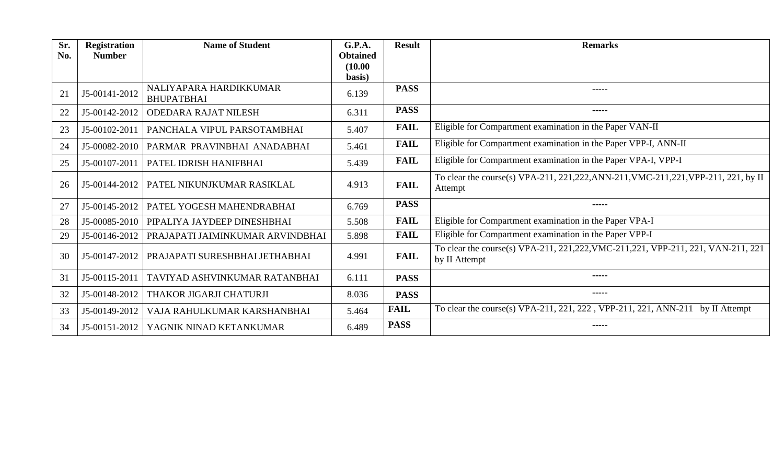| Sr. | <b>Registration</b> | <b>Name of Student</b>                      | G.P.A.            | <b>Result</b> | <b>Remarks</b>                                                                                      |
|-----|---------------------|---------------------------------------------|-------------------|---------------|-----------------------------------------------------------------------------------------------------|
| No. | <b>Number</b>       |                                             | <b>Obtained</b>   |               |                                                                                                     |
|     |                     |                                             | (10.00)<br>basis) |               |                                                                                                     |
| 21  | J5-00141-2012       | NALIYAPARA HARDIKKUMAR<br><b>BHUPATBHAI</b> | 6.139             | <b>PASS</b>   | -----                                                                                               |
| 22  | J5-00142-2012       | <b>ODEDARA RAJAT NILESH</b>                 | 6.311             | <b>PASS</b>   | -----                                                                                               |
| 23  | J5-00102-2011       | PANCHALA VIPUL PARSOTAMBHAI                 | 5.407             | <b>FAIL</b>   | Eligible for Compartment examination in the Paper VAN-II                                            |
| 24  | J5-00082-2010       | PARMAR PRAVINBHAI ANADABHAI                 | 5.461             | <b>FAIL</b>   | Eligible for Compartment examination in the Paper VPP-I, ANN-II                                     |
| 25  | J5-00107-2011       | PATEL IDRISH HANIFBHAI                      | 5.439             | <b>FAIL</b>   | Eligible for Compartment examination in the Paper VPA-I, VPP-I                                      |
| 26  | J5-00144-2012       | PATEL NIKUNJKUMAR RASIKLAL                  | 4.913             | <b>FAIL</b>   | To clear the course(s) VPA-211, 221, 222, ANN-211, VMC-211, 221, VPP-211, 221, by II<br>Attempt     |
| 27  | J5-00145-2012       | PATEL YOGESH MAHENDRABHAI                   | 6.769             | <b>PASS</b>   | -----                                                                                               |
| 28  | J5-00085-2010       | PIPALIYA JAYDEEP DINESHBHAI                 | 5.508             | <b>FAIL</b>   | Eligible for Compartment examination in the Paper VPA-I                                             |
| 29  | J5-00146-2012       | PRAJAPATI JAIMINKUMAR ARVINDBHAI            | 5.898             | <b>FAIL</b>   | Eligible for Compartment examination in the Paper VPP-I                                             |
| 30  | J5-00147-2012       | PRAJAPATI SURESHBHAI JETHABHAI              | 4.991             | <b>FAIL</b>   | To clear the course(s) VPA-211, 221, 222, VMC-211, 221, VPP-211, 221, VAN-211, 221<br>by II Attempt |
| 31  | J5-00115-2011       | TAVIYAD ASHVINKUMAR RATANBHAI               | 6.111             | <b>PASS</b>   | -----                                                                                               |
| 32  | J5-00148-2012       | THAKOR JIGARJI CHATURJI                     | 8.036             | <b>PASS</b>   | -----                                                                                               |
| 33  | J5-00149-2012       | VAJA RAHULKUMAR KARSHANBHAI                 | 5.464             | <b>FAIL</b>   | To clear the course(s) VPA-211, 221, 222, VPP-211, 221, ANN-211 by II Attempt                       |
| 34  | J5-00151-2012       | YAGNIK NINAD KETANKUMAR                     | 6.489             | <b>PASS</b>   | -----                                                                                               |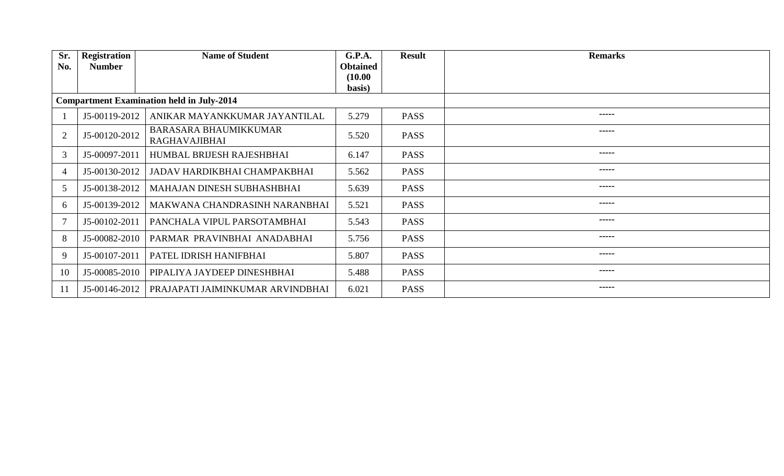| Sr.<br>No.     | <b>Registration</b><br><b>Number</b> | <b>Name of Student</b>                               | G.P.A.<br><b>Obtained</b> | <b>Result</b> | <b>Remarks</b>                                                                                                                                                                                                                                                                                                                                                                                                                                                                         |
|----------------|--------------------------------------|------------------------------------------------------|---------------------------|---------------|----------------------------------------------------------------------------------------------------------------------------------------------------------------------------------------------------------------------------------------------------------------------------------------------------------------------------------------------------------------------------------------------------------------------------------------------------------------------------------------|
|                |                                      |                                                      | (10.00)<br>basis)         |               |                                                                                                                                                                                                                                                                                                                                                                                                                                                                                        |
|                |                                      | <b>Compartment Examination held in July-2014</b>     |                           |               |                                                                                                                                                                                                                                                                                                                                                                                                                                                                                        |
|                | J5-00119-2012                        | ANIKAR MAYANKKUMAR JAYANTILAL                        | 5.279                     | <b>PASS</b>   | -----                                                                                                                                                                                                                                                                                                                                                                                                                                                                                  |
| $\overline{2}$ | J5-00120-2012                        | <b>BARASARA BHAUMIKKUMAR</b><br><b>RAGHAVAJIBHAI</b> | 5.520                     | <b>PASS</b>   | $- - - - -$                                                                                                                                                                                                                                                                                                                                                                                                                                                                            |
| 3              | J5-00097-2011                        | HUMBAL BRIJESH RAJESHBHAI                            | 6.147                     | <b>PASS</b>   | -----                                                                                                                                                                                                                                                                                                                                                                                                                                                                                  |
| $\overline{4}$ | J5-00130-2012                        | JADAV HARDIKBHAI CHAMPAKBHAI                         | 5.562                     | <b>PASS</b>   | -----                                                                                                                                                                                                                                                                                                                                                                                                                                                                                  |
| 5              | J5-00138-2012                        | MAHAJAN DINESH SUBHASHBHAI                           | 5.639                     | <b>PASS</b>   | $- - - - -$                                                                                                                                                                                                                                                                                                                                                                                                                                                                            |
| 6              | J5-00139-2012                        | MAKWANA CHANDRASINH NARANBHAI                        | 5.521                     | <b>PASS</b>   | $\begin{array}{cccccccccccccc} \multicolumn{2}{c}{} & \multicolumn{2}{c}{} & \multicolumn{2}{c}{} & \multicolumn{2}{c}{} & \multicolumn{2}{c}{} & \multicolumn{2}{c}{} & \multicolumn{2}{c}{} & \multicolumn{2}{c}{} & \multicolumn{2}{c}{} & \multicolumn{2}{c}{} & \multicolumn{2}{c}{} & \multicolumn{2}{c}{} & \multicolumn{2}{c}{} & \multicolumn{2}{c}{} & \multicolumn{2}{c}{} & \multicolumn{2}{c}{} & \multicolumn{2}{c}{} & \multicolumn{2}{c}{} & \multicolumn{2}{c}{} & \$ |
| $\overline{7}$ | J5-00102-2011                        | PANCHALA VIPUL PARSOTAMBHAI                          | 5.543                     | <b>PASS</b>   | -----                                                                                                                                                                                                                                                                                                                                                                                                                                                                                  |
| 8              | J5-00082-2010                        | PARMAR PRAVINBHAI ANADABHAI                          | 5.756                     | <b>PASS</b>   | -----                                                                                                                                                                                                                                                                                                                                                                                                                                                                                  |
| 9              | J5-00107-2011                        | PATEL IDRISH HANIFBHAI                               | 5.807                     | <b>PASS</b>   | -----                                                                                                                                                                                                                                                                                                                                                                                                                                                                                  |
| 10             | J5-00085-2010                        | PIPALIYA JAYDEEP DINESHBHAI                          | 5.488                     | <b>PASS</b>   |                                                                                                                                                                                                                                                                                                                                                                                                                                                                                        |
| 11             | J5-00146-2012                        | PRAJAPATI JAIMINKUMAR ARVINDBHAI                     | 6.021                     | <b>PASS</b>   | -----                                                                                                                                                                                                                                                                                                                                                                                                                                                                                  |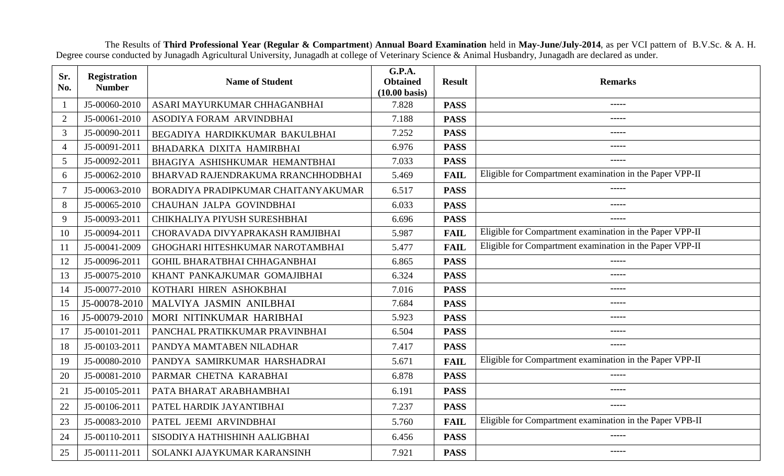The Results of **Third Professional Year (Regular & Compartment**) **Annual Board Examination** held in **May-June/July-2014**, as per VCI pattern of B.V.Sc. & A. H. Degree course conducted by Junagadh Agricultural University, Junagadh at college of Veterinary Science & Animal Husbandry, Junagadh are declared as under.

| Sr.<br>No.     | Registration<br><b>Number</b> | <b>Name of Student</b>              | G.P.A.<br><b>Obtained</b><br>$(10.00 \text{ basis})$ | <b>Result</b> | <b>Remarks</b>                                           |
|----------------|-------------------------------|-------------------------------------|------------------------------------------------------|---------------|----------------------------------------------------------|
| $\mathbf{1}$   | J5-00060-2010                 | ASARI MAYURKUMAR CHHAGANBHAI        | 7.828                                                | <b>PASS</b>   |                                                          |
| $\overline{2}$ | J5-00061-2010                 | ASODIYA FORAM ARVINDBHAI            | 7.188                                                | <b>PASS</b>   | $\frac{1}{2}$                                            |
| 3              | J5-00090-2011                 | BEGADIYA HARDIKKUMAR BAKULBHAI      | 7.252                                                | <b>PASS</b>   | -----                                                    |
| $\overline{4}$ | J5-00091-2011                 | BHADARKA DIXITA HAMIRBHAI           | 6.976                                                | <b>PASS</b>   |                                                          |
| 5              | J5-00092-2011                 | BHAGIYA ASHISHKUMAR HEMANTBHAI      | 7.033                                                | <b>PASS</b>   | -----                                                    |
| 6              | J5-00062-2010                 | BHARVAD RAJENDRAKUMA RRANCHHODBHAI  | 5.469                                                | <b>FAIL</b>   | Eligible for Compartment examination in the Paper VPP-II |
| $\overline{7}$ | J5-00063-2010                 | BORADIYA PRADIPKUMAR CHAITANYAKUMAR | 6.517                                                | <b>PASS</b>   | $\frac{1}{2}$                                            |
| 8              | J5-00065-2010                 | CHAUHAN JALPA GOVINDBHAI            | 6.033                                                | <b>PASS</b>   |                                                          |
| 9              | J5-00093-2011                 | CHIKHALIYA PIYUSH SURESHBHAI        | 6.696                                                | <b>PASS</b>   | -----                                                    |
| 10             | J5-00094-2011                 | CHORAVADA DIVYAPRAKASH RAMJIBHAI    | 5.987                                                | <b>FAIL</b>   | Eligible for Compartment examination in the Paper VPP-II |
| <sup>11</sup>  | J5-00041-2009                 | GHOGHARI HITESHKUMAR NAROTAMBHAI    | 5.477                                                | <b>FAIL</b>   | Eligible for Compartment examination in the Paper VPP-II |
| 12             | J5-00096-2011                 | GOHIL BHARATBHAI CHHAGANBHAI        | 6.865                                                | <b>PASS</b>   | -----                                                    |
| 13             | J5-00075-2010                 | KHANT PANKAJKUMAR GOMAJIBHAI        | 6.324                                                | <b>PASS</b>   | -----                                                    |
| 14             | J5-00077-2010                 | KOTHARI HIREN ASHOKBHAI             | 7.016                                                | <b>PASS</b>   | $\cdots \cdots \cdots$                                   |
| 15             | J5-00078-2010                 | MALVIYA JASMIN ANILBHAI             | 7.684                                                | <b>PASS</b>   | -----                                                    |
| 16             | J5-00079-2010                 | MORI NITINKUMAR HARIBHAI            | 5.923                                                | <b>PASS</b>   | $\cdots \cdots$                                          |
| 17             | J5-00101-2011                 | PANCHAL PRATIKKUMAR PRAVINBHAI      | 6.504                                                | <b>PASS</b>   | $\frac{1}{2}$                                            |
| 18             | J5-00103-2011                 | PANDYA MAMTABEN NILADHAR            | 7.417                                                | <b>PASS</b>   | $- - - - -$                                              |
| 19             | J5-00080-2010                 | PANDYA SAMIRKUMAR HARSHADRAI        | 5.671                                                | <b>FAIL</b>   | Eligible for Compartment examination in the Paper VPP-II |
| 20             | J5-00081-2010                 | PARMAR CHETNA KARABHAI              | 6.878                                                | <b>PASS</b>   | $- - - - - -$                                            |
| 21             | J5-00105-2011                 | PATA BHARAT ARABHAMBHAI             | 6.191                                                | <b>PASS</b>   |                                                          |
| 22             | J5-00106-2011                 | PATEL HARDIK JAYANTIBHAI            | 7.237                                                | <b>PASS</b>   |                                                          |
| 23             | J5-00083-2010                 | PATEL JEEMI ARVINDBHAI              | 5.760                                                | <b>FAIL</b>   | Eligible for Compartment examination in the Paper VPB-II |
| 24             | J5-00110-2011                 | SISODIYA HATHISHINH AALIGBHAI       | 6.456                                                | <b>PASS</b>   | $\cdots$                                                 |
| 25             | J5-00111-2011                 | SOLANKI AJAYKUMAR KARANSINH         | 7.921                                                | <b>PASS</b>   | -----                                                    |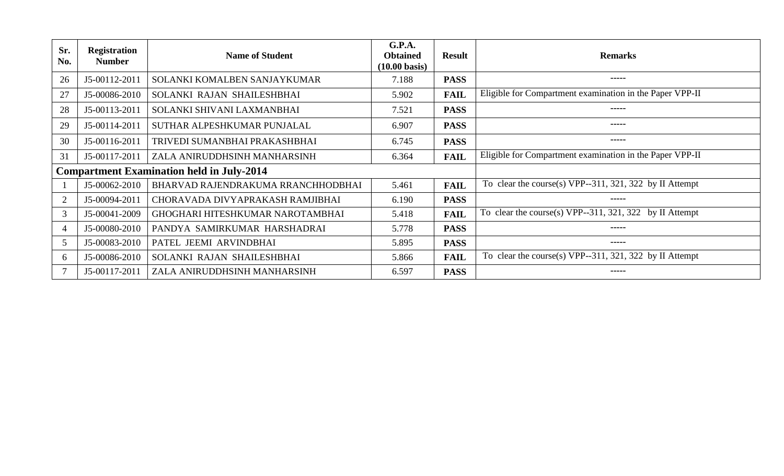| Sr.<br>No.     | <b>Registration</b><br><b>Number</b> | <b>Name of Student</b>                           | G.P.A.<br><b>Obtained</b><br>$(10.00 \text{ basis})$ | <b>Result</b> | <b>Remarks</b>                                           |
|----------------|--------------------------------------|--------------------------------------------------|------------------------------------------------------|---------------|----------------------------------------------------------|
| 26             | J5-00112-2011                        | SOLANKI KOMALBEN SANJAYKUMAR                     | 7.188                                                | <b>PASS</b>   | -----                                                    |
| 27             | J5-00086-2010                        | SOLANKI RAJAN SHAILESHBHAI                       | 5.902                                                | <b>FAIL</b>   | Eligible for Compartment examination in the Paper VPP-II |
| 28             | J5-00113-2011                        | SOLANKI SHIVANI LAXMANBHAI                       | 7.521                                                | <b>PASS</b>   | -----                                                    |
| 29             | J5-00114-2011                        | SUTHAR ALPESHKUMAR PUNJALAL                      | 6.907                                                | <b>PASS</b>   | -----                                                    |
| 30             | J5-00116-2011                        | TRIVEDI SUMANBHAI PRAKASHBHAI                    | 6.745                                                | <b>PASS</b>   | -----                                                    |
| 31             | J5-00117-2011                        | ZALA ANIRUDDHSINH MANHARSINH                     | 6.364                                                | <b>FAIL</b>   | Eligible for Compartment examination in the Paper VPP-II |
|                |                                      | <b>Compartment Examination held in July-2014</b> |                                                      |               |                                                          |
|                | J5-00062-2010                        | BHARVAD RAJENDRAKUMA RRANCHHODBHAI               | 5.461                                                | <b>FAIL</b>   | To clear the course(s) VPP--311, 321, 322 by II Attempt  |
| $\overline{2}$ | J5-00094-2011                        | CHORAVADA DIVYAPRAKASH RAMJIBHAI                 | 6.190                                                | <b>PASS</b>   | -----                                                    |
| 3              | J5-00041-2009                        | GHOGHARI HITESHKUMAR NAROTAMBHAI                 | 5.418                                                | <b>FAIL</b>   | To clear the course(s) VPP--311, 321, 322 by II Attempt  |
| $\overline{4}$ | J5-00080-2010                        | PANDYA SAMIRKUMAR HARSHADRAI                     | 5.778                                                | <b>PASS</b>   | -----                                                    |
| 5              | J5-00083-2010                        | PATEL JEEMI ARVINDBHAI                           | 5.895                                                | <b>PASS</b>   |                                                          |
| 6              | J5-00086-2010                        | SOLANKI RAJAN SHAILESHBHAI                       | 5.866                                                | <b>FAIL</b>   | To clear the course(s) VPP--311, 321, 322 by II Attempt  |
|                | J5-00117-2011                        | ZALA ANIRUDDHSINH MANHARSINH                     | 6.597                                                | <b>PASS</b>   |                                                          |